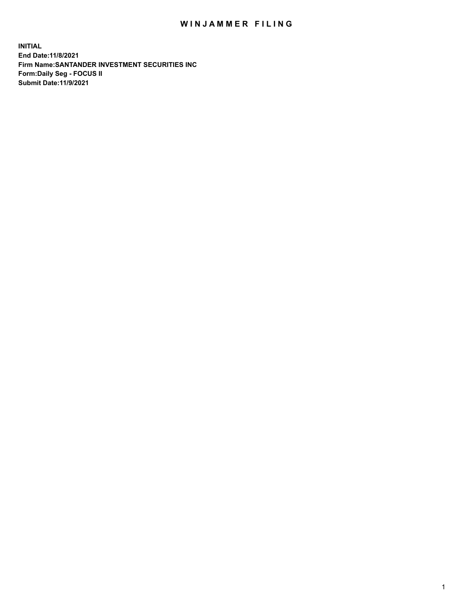## WIN JAMMER FILING

**INITIAL End Date:11/8/2021 Firm Name:SANTANDER INVESTMENT SECURITIES INC Form:Daily Seg - FOCUS II Submit Date:11/9/2021**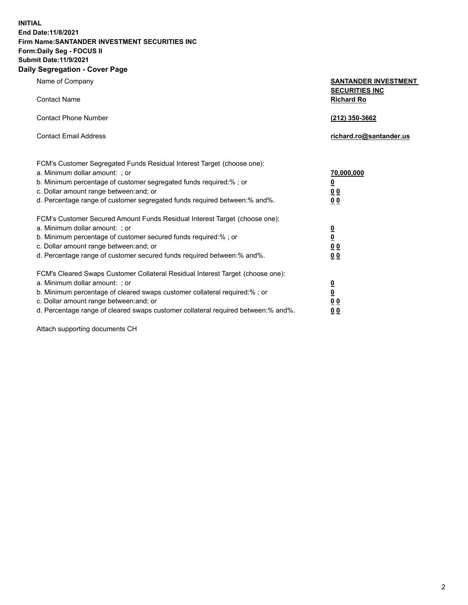**INITIAL End Date:11/8/2021 Firm Name:SANTANDER INVESTMENT SECURITIES INC Form:Daily Seg - FOCUS II Submit Date:11/9/2021 Daily Segregation - Cover Page**

| Name of Company                                                                                                                                                                                                                                                                                                                | <b>SANTANDER INVESTMENT</b>                             |
|--------------------------------------------------------------------------------------------------------------------------------------------------------------------------------------------------------------------------------------------------------------------------------------------------------------------------------|---------------------------------------------------------|
| <b>Contact Name</b>                                                                                                                                                                                                                                                                                                            | <b>SECURITIES INC</b><br><b>Richard Ro</b>              |
| <b>Contact Phone Number</b>                                                                                                                                                                                                                                                                                                    | (212) 350-3662                                          |
| <b>Contact Email Address</b>                                                                                                                                                                                                                                                                                                   | richard.ro@santander.us                                 |
| FCM's Customer Segregated Funds Residual Interest Target (choose one):<br>a. Minimum dollar amount: ; or<br>b. Minimum percentage of customer segregated funds required:% ; or<br>c. Dollar amount range between: and; or                                                                                                      | 70,000,000<br><u>0</u><br>00                            |
| d. Percentage range of customer segregated funds required between:% and%.<br>FCM's Customer Secured Amount Funds Residual Interest Target (choose one):<br>a. Minimum dollar amount: ; or                                                                                                                                      | 0 <sub>0</sub><br>$\frac{0}{0}$                         |
| b. Minimum percentage of customer secured funds required:%; or<br>c. Dollar amount range between: and; or<br>d. Percentage range of customer secured funds required between:% and%.                                                                                                                                            | 0 <sub>0</sub><br>0 <sub>0</sub>                        |
| FCM's Cleared Swaps Customer Collateral Residual Interest Target (choose one):<br>a. Minimum dollar amount: ; or<br>b. Minimum percentage of cleared swaps customer collateral required:% ; or<br>c. Dollar amount range between: and; or<br>d. Percentage range of cleared swaps customer collateral required between:% and%. | $\frac{\mathsf{0}}{\mathsf{0}}$<br>0 <sub>0</sub><br>00 |

Attach supporting documents CH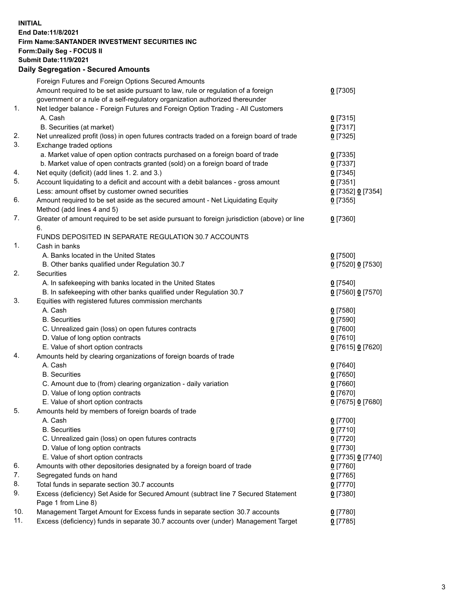## **INITIAL End Date:11/8/2021 Firm Name:SANTANDER INVESTMENT SECURITIES INC Form:Daily Seg - FOCUS II Submit Date:11/9/2021 Daily Segregation - Secured Amounts**

|     | Foreign Futures and Foreign Options Secured Amounts                                         |                   |
|-----|---------------------------------------------------------------------------------------------|-------------------|
|     | Amount required to be set aside pursuant to law, rule or regulation of a foreign            | $0$ [7305]        |
|     | government or a rule of a self-regulatory organization authorized thereunder                |                   |
| 1.  | Net ledger balance - Foreign Futures and Foreign Option Trading - All Customers             |                   |
|     | A. Cash                                                                                     | $0$ [7315]        |
|     | B. Securities (at market)                                                                   | $0$ [7317]        |
| 2.  | Net unrealized profit (loss) in open futures contracts traded on a foreign board of trade   | $0$ [7325]        |
| 3.  | Exchange traded options                                                                     |                   |
|     | a. Market value of open option contracts purchased on a foreign board of trade              | $0$ [7335]        |
|     | b. Market value of open contracts granted (sold) on a foreign board of trade                | $0$ [7337]        |
| 4.  | Net equity (deficit) (add lines 1. 2. and 3.)                                               | $0$ [7345]        |
| 5.  | Account liquidating to a deficit and account with a debit balances - gross amount           | $0$ [7351]        |
|     | Less: amount offset by customer owned securities                                            | 0 [7352] 0 [7354] |
| 6.  | Amount required to be set aside as the secured amount - Net Liquidating Equity              | $0$ [7355]        |
|     | Method (add lines 4 and 5)                                                                  |                   |
| 7.  | Greater of amount required to be set aside pursuant to foreign jurisdiction (above) or line | $0$ [7360]        |
|     | 6.                                                                                          |                   |
|     | FUNDS DEPOSITED IN SEPARATE REGULATION 30.7 ACCOUNTS                                        |                   |
| 1.  | Cash in banks                                                                               |                   |
|     | A. Banks located in the United States                                                       | $0$ [7500]        |
|     | B. Other banks qualified under Regulation 30.7                                              | 0 [7520] 0 [7530] |
| 2.  | <b>Securities</b>                                                                           |                   |
|     | A. In safekeeping with banks located in the United States                                   | $0$ [7540]        |
|     | B. In safekeeping with other banks qualified under Regulation 30.7                          | 0 [7560] 0 [7570] |
| 3.  | Equities with registered futures commission merchants                                       |                   |
|     | A. Cash                                                                                     | $0$ [7580]        |
|     | <b>B.</b> Securities                                                                        | $0$ [7590]        |
|     | C. Unrealized gain (loss) on open futures contracts                                         | $0$ [7600]        |
|     | D. Value of long option contracts                                                           | $0$ [7610]        |
|     | E. Value of short option contracts                                                          | 0 [7615] 0 [7620] |
| 4.  | Amounts held by clearing organizations of foreign boards of trade                           |                   |
|     | A. Cash                                                                                     | $0$ [7640]        |
|     | <b>B.</b> Securities                                                                        | $0$ [7650]        |
|     | C. Amount due to (from) clearing organization - daily variation                             | $0$ [7660]        |
|     | D. Value of long option contracts                                                           | $0$ [7670]        |
|     | E. Value of short option contracts                                                          | 0 [7675] 0 [7680] |
| 5.  | Amounts held by members of foreign boards of trade                                          |                   |
|     | A. Cash                                                                                     | $0$ [7700]        |
|     | <b>B.</b> Securities                                                                        | $0$ [7710]        |
|     | C. Unrealized gain (loss) on open futures contracts                                         | $0$ [7720]        |
|     | D. Value of long option contracts                                                           | $0$ [7730]        |
|     | E. Value of short option contracts                                                          | 0 [7735] 0 [7740] |
| 6.  | Amounts with other depositories designated by a foreign board of trade                      | $0$ [7760]        |
| 7.  | Segregated funds on hand                                                                    | $0$ [7765]        |
| 8.  | Total funds in separate section 30.7 accounts                                               | $0$ [7770]        |
| 9.  | Excess (deficiency) Set Aside for Secured Amount (subtract line 7 Secured Statement         | $0$ [7380]        |
|     | Page 1 from Line 8)                                                                         |                   |
| 10. | Management Target Amount for Excess funds in separate section 30.7 accounts                 | $0$ [7780]        |
| 11. | Excess (deficiency) funds in separate 30.7 accounts over (under) Management Target          | $0$ [7785]        |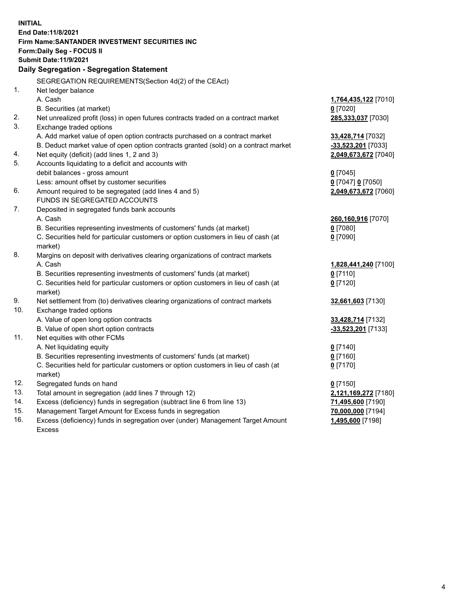| <b>INITIAL</b> |                                                                                     |                      |
|----------------|-------------------------------------------------------------------------------------|----------------------|
|                | End Date: 11/8/2021                                                                 |                      |
|                | Firm Name: SANTANDER INVESTMENT SECURITIES INC                                      |                      |
|                | Form: Daily Seg - FOCUS II                                                          |                      |
|                | <b>Submit Date: 11/9/2021</b>                                                       |                      |
|                | Daily Segregation - Segregation Statement                                           |                      |
|                | SEGREGATION REQUIREMENTS(Section 4d(2) of the CEAct)                                |                      |
| 1.             | Net ledger balance                                                                  |                      |
|                | A. Cash                                                                             | 1,764,435,122 [7010] |
|                | B. Securities (at market)                                                           | $0$ [7020]           |
| 2.             | Net unrealized profit (loss) in open futures contracts traded on a contract market  | 285,333,037 [7030]   |
| 3.             | Exchange traded options                                                             |                      |
|                | A. Add market value of open option contracts purchased on a contract market         | 33,428,714 [7032]    |
|                | B. Deduct market value of open option contracts granted (sold) on a contract market | -33,523,201 [7033]   |
| 4.             | Net equity (deficit) (add lines 1, 2 and 3)                                         | 2,049,673,672 [7040] |
| 5.             | Accounts liquidating to a deficit and accounts with                                 |                      |
|                | debit balances - gross amount                                                       | $0$ [7045]           |
|                | Less: amount offset by customer securities                                          | 0 [7047] 0 [7050]    |
| 6.             | Amount required to be segregated (add lines 4 and 5)                                | 2,049,673,672 [7060] |
|                | <b>FUNDS IN SEGREGATED ACCOUNTS</b>                                                 |                      |
| 7.             | Deposited in segregated funds bank accounts                                         |                      |
|                | A. Cash                                                                             | 260,160,916 [7070]   |
|                | B. Securities representing investments of customers' funds (at market)              | $0$ [7080]           |
|                | C. Securities held for particular customers or option customers in lieu of cash (at | $0$ [7090]           |
|                | market)                                                                             |                      |
| 8.             | Margins on deposit with derivatives clearing organizations of contract markets      |                      |
|                | A. Cash                                                                             | 1,828,441,240 [7100] |
|                | B. Securities representing investments of customers' funds (at market)              | $0$ [7110]           |
|                | C. Securities held for particular customers or option customers in lieu of cash (at | $0$ [7120]           |
|                | market)                                                                             |                      |
| 9.             | Net settlement from (to) derivatives clearing organizations of contract markets     | 32,661,603 [7130]    |
| 10.            | Exchange traded options                                                             |                      |
|                | A. Value of open long option contracts                                              | 33,428,714 [7132]    |
|                | B. Value of open short option contracts                                             | -33,523,201 [7133]   |
| 11.            | Net equities with other FCMs                                                        |                      |
|                | A. Net liquidating equity                                                           | $0$ [7140]           |
|                | B. Securities representing investments of customers' funds (at market)              | $0$ [7160]           |
|                | C. Securities held for particular customers or option customers in lieu of cash (at | $0$ [7170]           |
|                | market)                                                                             |                      |
| 12.            | Segregated funds on hand                                                            | $0$ [7150]           |
| 13.            | Total amount in segregation (add lines 7 through 12)                                | 2,121,169,272 [7180] |
| 14.            | Excess (deficiency) funds in segregation (subtract line 6 from line 13)             | 71,495,600 [7190]    |
| 15.            | Management Target Amount for Excess funds in segregation                            | 70,000,000 [7194]    |
| 16.            | Excess (deficiency) funds in segregation over (under) Management Target Amount      | 1,495,600 [7198]     |
|                | Excess                                                                              |                      |